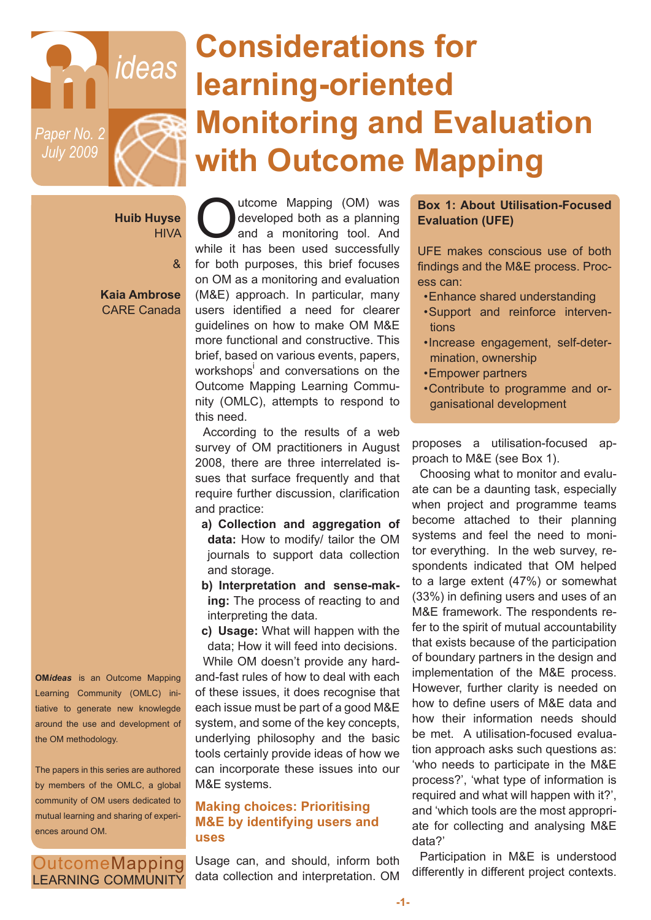

# **Considerations for learning-oriented Monitoring and Evaluation with Outcome Mapping**

**Huib Huyse HIVA** 

&

 **Kaia Ambrose** CARE Canada

Outcome Mapping (OM) was<br>developed both as a planning<br>and a monitoring tool. And<br>while it has been used successfully developed both as a planning and a monitoring tool. And while it has been used successfully for both purposes, this brief focuses on OM as a monitoring and evaluation (M&E) approach. In particular, many users identified a need for clearer guidelines on how to make OM M&E more functional and constructive. This brief, based on various events, papers, workshops<sup>i</sup> and conversations on the Outcome Mapping Learning Community (OMLC), attempts to respond to this need.

According to the results of a web survey of OM practitioners in August 2008, there are three interrelated issues that surface frequently and that require further discussion, clarification and practice:

- **a) Collection and aggregation of data:** How to modify/ tailor the OM journals to support data collection and storage.
- **b) Interpretation and sense-making:** The process of reacting to and interpreting the data.

**c) Usage:** What will happen with the data; How it will feed into decisions. While OM doesn't provide any hardand-fast rules of how to deal with each of these issues, it does recognise that each issue must be part of a good M&E system, and some of the key concepts, underlying philosophy and the basic tools certainly provide ideas of how we can incorporate these issues into our M&E systems.

## **Making choices: Prioritising M&E by identifying users and uses**

OutcomeMapping **LEARNING COMMUNITY** 

**OM***ideas* is an Outcome Mapping Learning Community (OMLC) initiative to generate new knowlegde around the use and development of

The papers in this series are authored by members of the OMLC, a global community of OM users dedicated to mutual learning and sharing of experi-

the OM methodology.

ences around OM.

Usage can, and should, inform both data collection and interpretation. OM

#### **Box 1: About Utilisation-Focused Evaluation (UFE)**

UFE makes conscious use of both findings and the M&E process. Process can:

- •Enhance shared understanding
- •Support and reinforce interventions
- •Increase engagement, self-determination, ownership
- •Empower partners
- •Contribute to programme and organisational development

proposes a utilisation-focused approach to M&E (see Box 1).

Choosing what to monitor and evaluate can be a daunting task, especially when project and programme teams become attached to their planning systems and feel the need to monitor everything. In the web survey, respondents indicated that OM helped to a large extent (47%) or somewhat (33%) in defining users and uses of an M&E framework. The respondents refer to the spirit of mutual accountability that exists because of the participation of boundary partners in the design and implementation of the M&E process. However, further clarity is needed on how to define users of M&E data and how their information needs should be met. A utilisation-focused evaluation approach asks such questions as: 'who needs to participate in the M&E process?', 'what type of information is required and what will happen with it?', and 'which tools are the most appropriate for collecting and analysing M&E data?'

Participation in M&E is understood differently in different project contexts.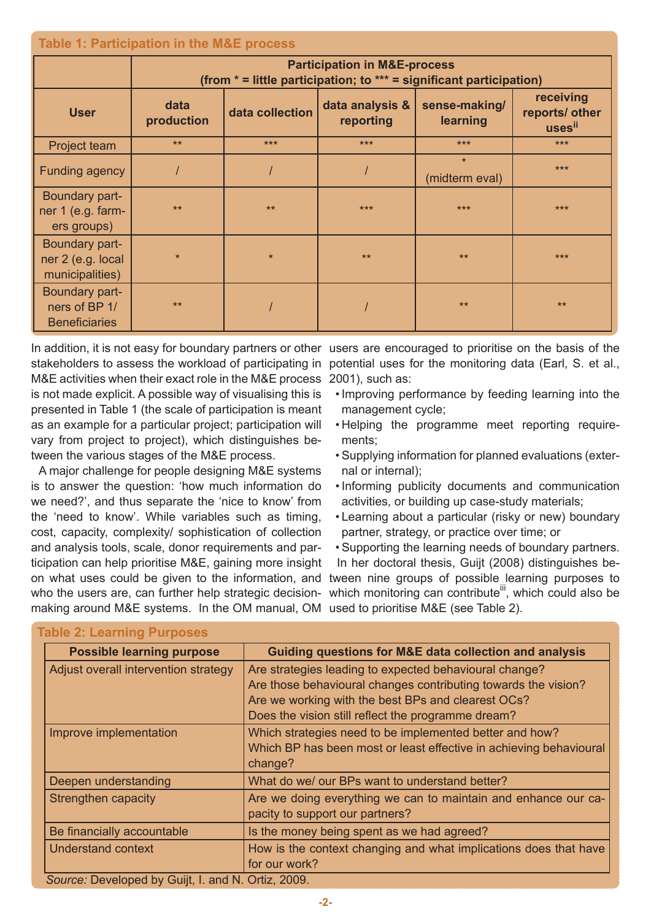| <b>Table 1: Participation in the M&amp;E process</b>    |                                                                                                                    |                 |                              |                           |                                       |
|---------------------------------------------------------|--------------------------------------------------------------------------------------------------------------------|-----------------|------------------------------|---------------------------|---------------------------------------|
|                                                         | <b>Participation in M&amp;E-process</b><br>(from $*$ = little participation; to $***$ = significant participation) |                 |                              |                           |                                       |
| <b>User</b>                                             | data<br>production                                                                                                 | data collection | data analysis &<br>reporting | sense-making/<br>learning | receiving<br>reports/ other<br>usesii |
| <b>Project team</b>                                     | $**$                                                                                                               | $***$           | $***$                        | ***                       | $***$                                 |
| <b>Funding agency</b>                                   |                                                                                                                    |                 |                              | $\star$<br>(midterm eval) | ***                                   |
| Boundary part-<br>ner 1 (e.g. farm-<br>ers groups)      | $***$                                                                                                              | $***$           | ***                          | ***                       | ***                                   |
| Boundary part-<br>ner 2 (e.g. local<br>municipalities)  | $\star$                                                                                                            | $\star$         | $***$                        | $***$                     | ***                                   |
| Boundary part-<br>ners of BP 1/<br><b>Beneficiaries</b> | $***$                                                                                                              |                 |                              | $***$                     | $***$                                 |

M&E activities when their exact role in the M&E process 2001), such as: is not made explicit. A possible way of visualising this is presented in Table 1 (the scale of participation is meant as an example for a particular project; participation will vary from project to project), which distinguishes between the various stages of the M&E process.

making around M&E systems. In the OM manual, OM used to prioritise M&E (see Table 2). A major challenge for people designing M&E systems is to answer the question: 'how much information do we need?', and thus separate the 'nice to know' from the 'need to know'. While variables such as timing, cost, capacity, complexity/ sophistication of collection and analysis tools, scale, donor requirements and participation can help prioritise M&E, gaining more insight

In addition, it is not easy for boundary partners or other users are encouraged to prioritise on the basis of the stakeholders to assess the workload of participating in potential uses for the monitoring data (Earl, S. et al.,

- •Improving performance by feeding learning into the management cycle;
- Helping the programme meet reporting requirements;
- •Supplying information for planned evaluations (external or internal);
- •Informing publicity documents and communication activities, or building up case-study materials;
- Learning about a particular (risky or new) boundary partner, strategy, or practice over time; or
- •Supporting the learning needs of boundary partners.

In her doctoral thesis, Guijt (2008) distinguishes beon what uses could be given to the information, and tween nine groups of possible learning purposes to who the users are, can further help strategic decision- which monitoring can contribute<sup>iii</sup>, which could also be

| <b>Possible learning purpose</b>                   | Guiding questions for M&E data collection and analysis             |  |  |
|----------------------------------------------------|--------------------------------------------------------------------|--|--|
| Adjust overall intervention strategy               | Are strategies leading to expected behavioural change?             |  |  |
|                                                    | Are those behavioural changes contributing towards the vision?     |  |  |
|                                                    | Are we working with the best BPs and clearest OCs?                 |  |  |
|                                                    | Does the vision still reflect the programme dream?                 |  |  |
| Improve implementation                             | Which strategies need to be implemented better and how?            |  |  |
|                                                    | Which BP has been most or least effective in achieving behavioural |  |  |
|                                                    | change?                                                            |  |  |
| Deepen understanding                               | What do we/ our BPs want to understand better?                     |  |  |
| Strengthen capacity                                | Are we doing everything we can to maintain and enhance our ca-     |  |  |
|                                                    | pacity to support our partners?                                    |  |  |
| Be financially accountable                         | Is the money being spent as we had agreed?                         |  |  |
| <b>Understand context</b>                          | How is the context changing and what implications does that have   |  |  |
|                                                    | for our work?                                                      |  |  |
| Source: Developed by Guijt, I. and N. Ortiz, 2009. |                                                                    |  |  |

#### **Table 2: Learning Purposes**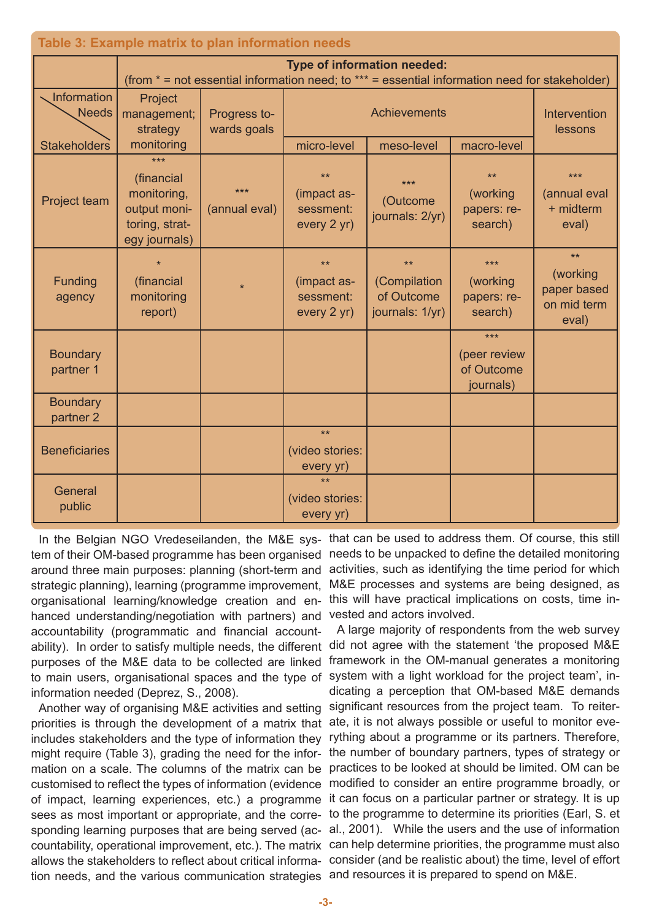| Table 3: Example matrix to plan information needs |                                                                                     |                                                                                                                               |                                                 |                                                      |                                                |                                                         |
|---------------------------------------------------|-------------------------------------------------------------------------------------|-------------------------------------------------------------------------------------------------------------------------------|-------------------------------------------------|------------------------------------------------------|------------------------------------------------|---------------------------------------------------------|
|                                                   |                                                                                     | Type of information needed:<br>(from * = not essential information need; to *** = essential information need for stakeholder) |                                                 |                                                      |                                                |                                                         |
| <b>Information</b><br><b>Needs</b>                | Project<br>management;<br>strategy                                                  | Progress to-<br>wards goals                                                                                                   | <b>Achievements</b>                             |                                                      |                                                | <b>Intervention</b><br>lessons                          |
| <b>Stakeholders</b>                               | monitoring                                                                          |                                                                                                                               | micro-level                                     | meso-level                                           | macro-level                                    |                                                         |
| Project team                                      | ***<br>(financial<br>monitoring,<br>output moni-<br>toring, strat-<br>egy journals) | $***$<br>(annual eval)                                                                                                        | $**$<br>(impact as-<br>sessment:<br>every 2 yr) | ***<br>(Outcome<br>journals: 2/yr)                   | $***$<br>(working<br>papers: re-<br>search)    | $***$<br>(annual eval<br>+ midterm<br>eval)             |
| Funding<br>agency                                 | (financial<br>monitoring<br>report)                                                 | $\star$                                                                                                                       | $**$<br>(impact as-<br>sessment:<br>every 2 yr) | $*$<br>(Compilation<br>of Outcome<br>journals: 1/yr) | ***<br>(working<br>papers: re-<br>search)      | $**$<br>(working<br>paper based<br>on mid term<br>eval) |
| <b>Boundary</b><br>partner 1                      |                                                                                     |                                                                                                                               |                                                 |                                                      | ***<br>(peer review<br>of Outcome<br>journals) |                                                         |
| <b>Boundary</b><br>partner <sub>2</sub>           |                                                                                     |                                                                                                                               |                                                 |                                                      |                                                |                                                         |
| <b>Beneficiaries</b>                              |                                                                                     |                                                                                                                               | $**$<br>(video stories:<br>every yr)            |                                                      |                                                |                                                         |
| General<br>public                                 |                                                                                     |                                                                                                                               | $**$<br>(video stories:<br>every yr)            |                                                      |                                                |                                                         |

ability). In order to satisfy multiple needs, the different did not agree with the statement 'the proposed M&E to main users, organisational spaces and the type of system with a light workload for the project team', in-In the Belgian NGO Vredeseilanden, the M&E system of their OM-based programme has been organised around three main purposes: planning (short-term and strategic planning), learning (programme improvement, organisational learning/knowledge creation and enhanced understanding/negotiation with partners) and accountability (programmatic and financial accountpurposes of the M&E data to be collected are linked information needed (Deprez, S., 2008).

priorities is through the development of a matrix that ate, it is not always possible or useful to monitor evetion needs, and the various communication strategies and resources it is prepared to spend on M&E.

that can be used to address them. Of course, this still needs to be unpacked to define the detailed monitoring activities, such as identifying the time period for which M&E processes and systems are being designed, as this will have practical implications on costs, time invested and actors involved.

A large majority of respondents from the web survey framework in the OM-manual generates a monitoring dicating a perception that OM-based M&E demands Another way of organising M&E activities and setting significant resources from the project team. To reiterincludes stakeholders and the type of information they rything about a programme or its partners. Therefore, might require (Table 3), grading the need for the infor- the number of boundary partners, types of strategy or mation on a scale. The columns of the matrix can be practices to be looked at should be limited. OM can be customised to reflect the types of information (evidence modified to consider an entire programme broadly, or of impact, learning experiences, etc.) a programme it can focus on a particular partner or strategy. It is up sees as most important or appropriate, and the corre- to the programme to determine its priorities (Earl, S. et sponding learning purposes that are being served (ac- al., 2001). While the users and the use of information countability, operational improvement, etc.). The matrix can help determine priorities, the programme must also allows the stakeholders to reflect about critical informa- consider (and be realistic about) the time, level of effort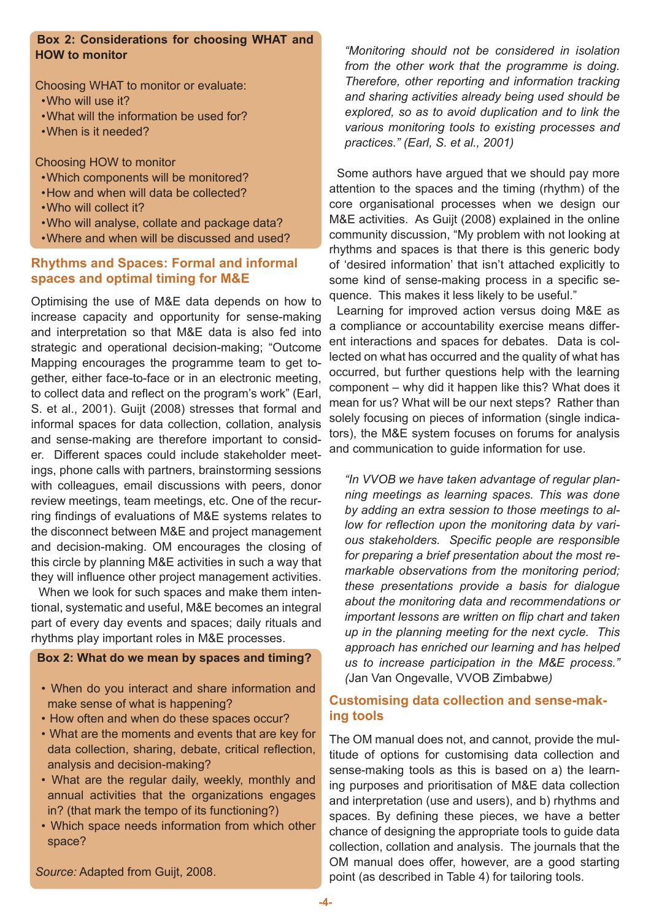## **Box 2: Considerations for choosing WHAT and HOW to monitor**

Choosing WHAT to monitor or evaluate:

- •Who will use it?
- •What will the information be used for?
- •When is it needed?

Choosing HOW to monitor

- •Which components will be monitored?
- •How and when will data be collected?
- •Who will collect it?
- •Who will analyse, collate and package data?
- •Where and when will be discussed and used?

## **Rhythms and Spaces: Formal and informal spaces and optimal timing for M&E**

Optimising the use of M&E data depends on how to increase capacity and opportunity for sense-making and interpretation so that M&E data is also fed into strategic and operational decision-making; "Outcome Mapping encourages the programme team to get together, either face-to-face or in an electronic meeting, to collect data and reflect on the program's work" (Earl, S. et al., 2001). Guijt (2008) stresses that formal and informal spaces for data collection, collation, analysis and sense-making are therefore important to consider. Different spaces could include stakeholder meetings, phone calls with partners, brainstorming sessions with colleagues, email discussions with peers, donor review meetings, team meetings, etc. One of the recurring findings of evaluations of M&E systems relates to the disconnect between M&E and project management and decision-making. OM encourages the closing of this circle by planning M&E activities in such a way that they will influence other project management activities.

When we look for such spaces and make them intentional, systematic and useful, M&E becomes an integral part of every day events and spaces; daily rituals and rhythms play important roles in M&E processes.

#### **Box 2: What do we mean by spaces and timing?**

- When do you interact and share information and make sense of what is happening?
- How often and when do these spaces occur?
- What are the moments and events that are key for data collection, sharing, debate, critical reflection, analysis and decision-making?
- What are the regular daily, weekly, monthly and annual activities that the organizations engages in? (that mark the tempo of its functioning?)
- Which space needs information from which other space?

*Source:* Adapted from Guijt, 2008.

*"Monitoring should not be considered in isolation from the other work that the programme is doing. Therefore, other reporting and information tracking and sharing activities already being used should be explored, so as to avoid duplication and to link the various monitoring tools to existing processes and practices." (Earl, S. et al., 2001)*

Some authors have argued that we should pay more attention to the spaces and the timing (rhythm) of the core organisational processes when we design our M&E activities. As Guijt (2008) explained in the online community discussion, "My problem with not looking at rhythms and spaces is that there is this generic body of 'desired information' that isn't attached explicitly to some kind of sense-making process in a specific sequence. This makes it less likely to be useful."

Learning for improved action versus doing M&E as a compliance or accountability exercise means different interactions and spaces for debates. Data is collected on what has occurred and the quality of what has occurred, but further questions help with the learning component – why did it happen like this? What does it mean for us? What will be our next steps? Rather than solely focusing on pieces of information (single indicators), the M&E system focuses on forums for analysis and communication to guide information for use.

*"In VVOB we have taken advantage of regular planning meetings as learning spaces. This was done by adding an extra session to those meetings to allow for reflection upon the monitoring data by various stakeholders. Specific people are responsible for preparing a brief presentation about the most remarkable observations from the monitoring period; these presentations provide a basis for dialogue about the monitoring data and recommendations or important lessons are written on flip chart and taken up in the planning meeting for the next cycle. This approach has enriched our learning and has helped us to increase participation in the M&E process." (*Jan Van Ongevalle, VVOB Zimbabwe*)*

## **Customising data collection and sense-making tools**

The OM manual does not, and cannot, provide the multitude of options for customising data collection and sense-making tools as this is based on a) the learning purposes and prioritisation of M&E data collection and interpretation (use and users), and b) rhythms and spaces. By defining these pieces, we have a better chance of designing the appropriate tools to guide data collection, collation and analysis. The journals that the OM manual does offer, however, are a good starting point (as described in Table 4) for tailoring tools.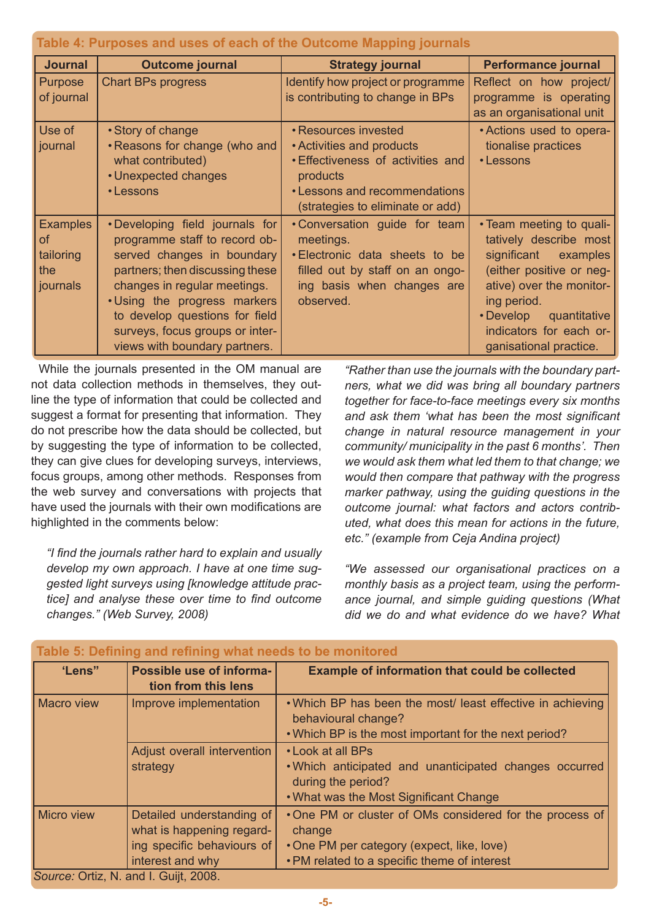| Table 4: Purposes and uses of each of the Outcome Mapping journals |                                                                                                                                                                                                                                                                                                        |                                                                                                                                                                              |                                                                                                                                                                                                                                           |  |
|--------------------------------------------------------------------|--------------------------------------------------------------------------------------------------------------------------------------------------------------------------------------------------------------------------------------------------------------------------------------------------------|------------------------------------------------------------------------------------------------------------------------------------------------------------------------------|-------------------------------------------------------------------------------------------------------------------------------------------------------------------------------------------------------------------------------------------|--|
| <b>Journal</b>                                                     | <b>Outcome journal</b>                                                                                                                                                                                                                                                                                 | <b>Strategy journal</b>                                                                                                                                                      | <b>Performance journal</b>                                                                                                                                                                                                                |  |
| Purpose<br>of journal                                              | <b>Chart BPs progress</b>                                                                                                                                                                                                                                                                              | Identify how project or programme<br>is contributing to change in BPs                                                                                                        | Reflect on how project/<br>programme is operating<br>as an organisational unit                                                                                                                                                            |  |
| Use of<br>journal                                                  | • Story of change<br>. Reasons for change (who and<br>what contributed)<br>• Unexpected changes<br>• Lessons                                                                                                                                                                                           | • Resources invested<br>• Activities and products<br><b>Effectiveness of activities and</b><br>products<br>• Lessons and recommendations<br>(strategies to eliminate or add) | • Actions used to opera-<br>tionalise practices<br>• Lessons                                                                                                                                                                              |  |
| <b>Examples</b><br><b>of</b><br>tailoring<br>the<br>journals       | •Developing field journals for<br>programme staff to record ob-<br>served changes in boundary<br>partners; then discussing these<br>changes in regular meetings.<br>. Using the progress markers<br>to develop questions for field<br>surveys, focus groups or inter-<br>views with boundary partners. | • Conversation guide for team<br>meetings.<br>. Electronic data sheets to be<br>filled out by staff on an ongo-<br>ing basis when changes are<br>observed.                   | • Team meeting to quali-<br>tatively describe most<br>significant examples<br>(either positive or neg-<br>ative) over the monitor-<br>ing period.<br>$\cdot$ Develop<br>quantitative<br>indicators for each or-<br>ganisational practice. |  |

While the journals presented in the OM manual are not data collection methods in themselves, they outline the type of information that could be collected and suggest a format for presenting that information. They do not prescribe how the data should be collected, but by suggesting the type of information to be collected, they can give clues for developing surveys, interviews, focus groups, among other methods. Responses from the web survey and conversations with projects that have used the journals with their own modifications are highlighted in the comments below:

*"I find the journals rather hard to explain and usually develop my own approach. I have at one time suggested light surveys using [knowledge attitude practice] and analyse these over time to find outcome changes." (Web Survey, 2008)*

*"Rather than use the journals with the boundary partners, what we did was bring all boundary partners together for face-to-face meetings every six months and ask them 'what has been the most significant change in natural resource management in your community/ municipality in the past 6 months'. Then we would ask them what led them to that change; we would then compare that pathway with the progress marker pathway, using the guiding questions in the outcome journal: what factors and actors contributed, what does this mean for actions in the future, etc." (example from Ceja Andina project)*

*"We assessed our organisational practices on a monthly basis as a project team, using the performance journal, and simple guiding questions (What did we do and what evidence do we have? What* 

| Table 5: Defining and refining what needs to be monitored |                                                                                                          |                                                                                                                                                                 |  |  |
|-----------------------------------------------------------|----------------------------------------------------------------------------------------------------------|-----------------------------------------------------------------------------------------------------------------------------------------------------------------|--|--|
| 'Lens"                                                    | Possible use of informa-<br>tion from this lens                                                          | <b>Example of information that could be collected</b>                                                                                                           |  |  |
| <b>Macro view</b>                                         | Improve implementation                                                                                   | . Which BP has been the most/least effective in achieving<br>behavioural change?<br>. Which BP is the most important for the next period?                       |  |  |
|                                                           | Adjust overall intervention<br>strategy                                                                  | • Look at all BPs<br>. Which anticipated and unanticipated changes occurred<br>during the period?<br>. What was the Most Significant Change                     |  |  |
| <b>Micro view</b>                                         | Detailed understanding of<br>what is happening regard-<br>ing specific behaviours of<br>interest and why | •One PM or cluster of OMs considered for the process of<br>change<br>• One PM per category (expect, like, love)<br>• PM related to a specific theme of interest |  |  |
|                                                           | Source: Ortiz, N. and I. Guijt, 2008.                                                                    |                                                                                                                                                                 |  |  |